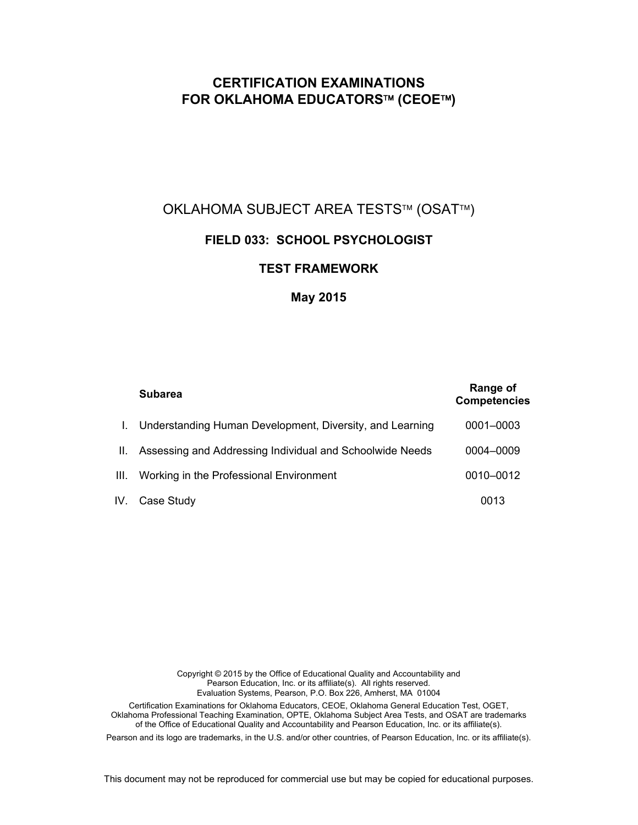# **CERTIFICATION EXAMINATIONS FOR OKLAHOMA EDUCATORS™ (CEOE™)**

# OKLAHOMA SUBJECT AREA TESTS™ (OSAT™)

# **FIELD 033: SCHOOL PSYCHOLOGIST**

# **TEST FRAMEWORK**

# **May 2015**

|      | <b>Subarea</b>                                           | Range of<br><b>Competencies</b> |
|------|----------------------------------------------------------|---------------------------------|
|      | Understanding Human Development, Diversity, and Learning | 0001-0003                       |
| II.  | Assessing and Addressing Individual and Schoolwide Needs | 0004-0009                       |
| III. | Working in the Professional Environment                  | 0010-0012                       |
|      | IV. Case Study                                           | 0013                            |

Copyright © 2015 by the Office of Educational Quality and Accountability and Pearson Education, Inc. or its affiliate(s). All rights reserved. Evaluation Systems, Pearson, P.O. Box 226, Amherst, MA 01004 Certification Examinations for Oklahoma Educators, CEOE, Oklahoma General Education Test, OGET, Oklahoma Professional Teaching Examination, OPTE, Oklahoma Subject Area Tests, and OSAT are trademarks of the Office of Educational Quality and Accountability and Pearson Education, Inc. or its affiliate(s).

Pearson and its logo are trademarks, in the U.S. and/or other countries, of Pearson Education, Inc. or its affiliate(s).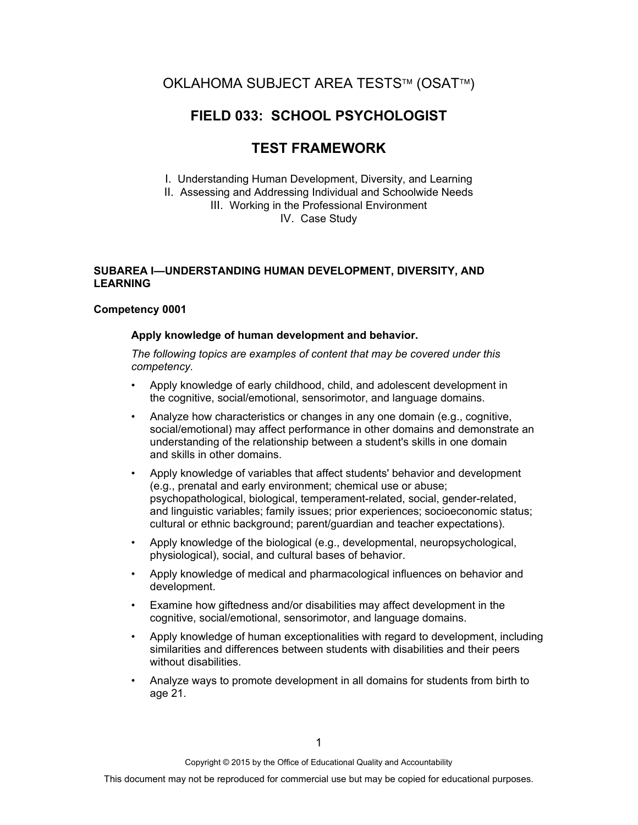# OKLAHOMA SUBJECT AREA TESTS™ (OSAT™)

# **FIELD 033: SCHOOL PSYCHOLOGIST**

# **TEST FRAMEWORK**

I. Understanding Human Development, Diversity, and Learning

II. Assessing and Addressing Individual and Schoolwide Needs III. Working in the Professional Environment

IV. Case Study

## **SUBAREA I—UNDERSTANDING HUMAN DEVELOPMENT, DIVERSITY, AND LEARNING**

## **Competency 0001**

## **Apply knowledge of human development and behavior.**

- Apply knowledge of early childhood, child, and adolescent development in the cognitive, social/emotional, sensorimotor, and language domains.
- Analyze how characteristics or changes in any one domain (e.g., cognitive, social/emotional) may affect performance in other domains and demonstrate an understanding of the relationship between a student's skills in one domain and skills in other domains.
- Apply knowledge of variables that affect students' behavior and development (e.g., prenatal and early environment; chemical use or abuse; psychopathological, biological, temperament-related, social, gender-related, and linguistic variables; family issues; prior experiences; socioeconomic status; cultural or ethnic background; parent/guardian and teacher expectations).
- Apply knowledge of the biological (e.g., developmental, neuropsychological, physiological), social, and cultural bases of behavior.
- Apply knowledge of medical and pharmacological influences on behavior and development.
- Examine how giftedness and/or disabilities may affect development in the cognitive, social/emotional, sensorimotor, and language domains.
- Apply knowledge of human exceptionalities with regard to development, including similarities and differences between students with disabilities and their peers without disabilities.
- Analyze ways to promote development in all domains for students from birth to age 21.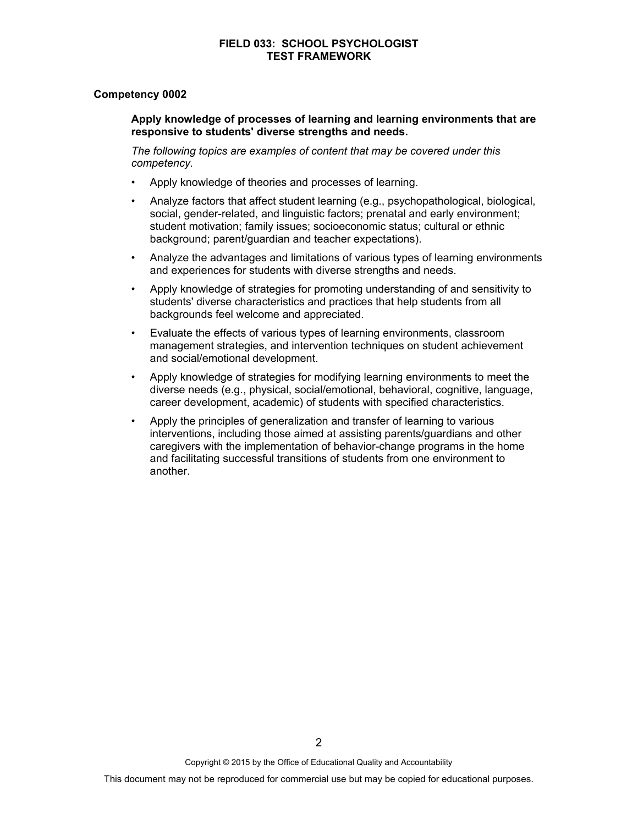#### **Competency 0002**

#### **Apply knowledge of processes of learning and learning environments that are responsive to students' diverse strengths and needs.**

- Apply knowledge of theories and processes of learning.
- Analyze factors that affect student learning (e.g., psychopathological, biological, social, gender-related, and linguistic factors; prenatal and early environment; student motivation; family issues; socioeconomic status; cultural or ethnic background; parent/guardian and teacher expectations).
- Analyze the advantages and limitations of various types of learning environments and experiences for students with diverse strengths and needs.
- Apply knowledge of strategies for promoting understanding of and sensitivity to students' diverse characteristics and practices that help students from all backgrounds feel welcome and appreciated.
- Evaluate the effects of various types of learning environments, classroom management strategies, and intervention techniques on student achievement and social/emotional development.
- Apply knowledge of strategies for modifying learning environments to meet the diverse needs (e.g., physical, social/emotional, behavioral, cognitive, language, career development, academic) of students with specified characteristics.
- Apply the principles of generalization and transfer of learning to various interventions, including those aimed at assisting parents/guardians and other caregivers with the implementation of behavior-change programs in the home and facilitating successful transitions of students from one environment to another.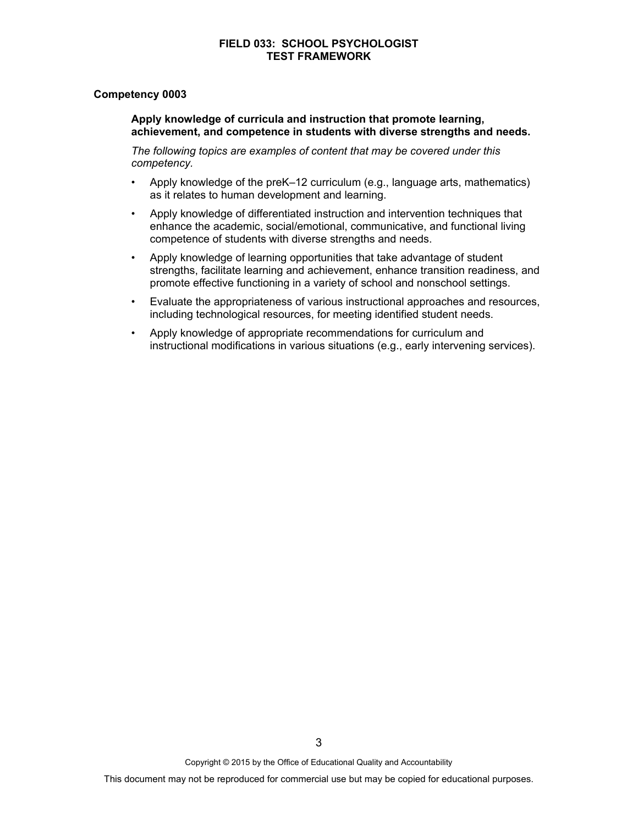#### **Competency 0003**

#### **Apply knowledge of curricula and instruction that promote learning, achievement, and competence in students with diverse strengths and needs.**

- Apply knowledge of the preK–12 curriculum (e.g., language arts, mathematics) as it relates to human development and learning.
- Apply knowledge of differentiated instruction and intervention techniques that enhance the academic, social/emotional, communicative, and functional living competence of students with diverse strengths and needs.
- Apply knowledge of learning opportunities that take advantage of student strengths, facilitate learning and achievement, enhance transition readiness, and promote effective functioning in a variety of school and nonschool settings.
- Evaluate the appropriateness of various instructional approaches and resources, including technological resources, for meeting identified student needs.
- Apply knowledge of appropriate recommendations for curriculum and instructional modifications in various situations (e.g., early intervening services).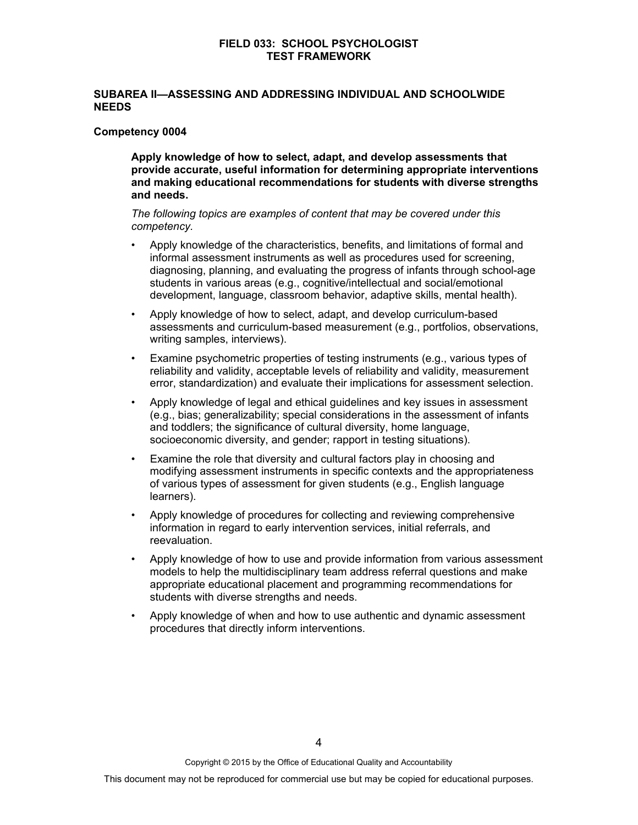### **SUBAREA II—ASSESSING AND ADDRESSING INDIVIDUAL AND SCHOOLWIDE NEEDS**

#### **Competency 0004**

 **Apply knowledge of how to select, adapt, and develop assessments that provide accurate, useful information for determining appropriate interventions and making educational recommendations for students with diverse strengths and needs.** 

- Apply knowledge of the characteristics, benefits, and limitations of formal and informal assessment instruments as well as procedures used for screening, diagnosing, planning, and evaluating the progress of infants through school-age students in various areas (e.g., cognitive/intellectual and social/emotional development, language, classroom behavior, adaptive skills, mental health).
- Apply knowledge of how to select, adapt, and develop curriculum-based assessments and curriculum-based measurement (e.g., portfolios, observations, writing samples, interviews).
- Examine psychometric properties of testing instruments (e.g., various types of reliability and validity, acceptable levels of reliability and validity, measurement error, standardization) and evaluate their implications for assessment selection.
- Apply knowledge of legal and ethical guidelines and key issues in assessment (e.g., bias; generalizability; special considerations in the assessment of infants and toddlers; the significance of cultural diversity, home language, socioeconomic diversity, and gender; rapport in testing situations).
- Examine the role that diversity and cultural factors play in choosing and modifying assessment instruments in specific contexts and the appropriateness of various types of assessment for given students (e.g., English language learners).
- Apply knowledge of procedures for collecting and reviewing comprehensive information in regard to early intervention services, initial referrals, and reevaluation.
- Apply knowledge of how to use and provide information from various assessment models to help the multidisciplinary team address referral questions and make appropriate educational placement and programming recommendations for students with diverse strengths and needs.
- Apply knowledge of when and how to use authentic and dynamic assessment procedures that directly inform interventions.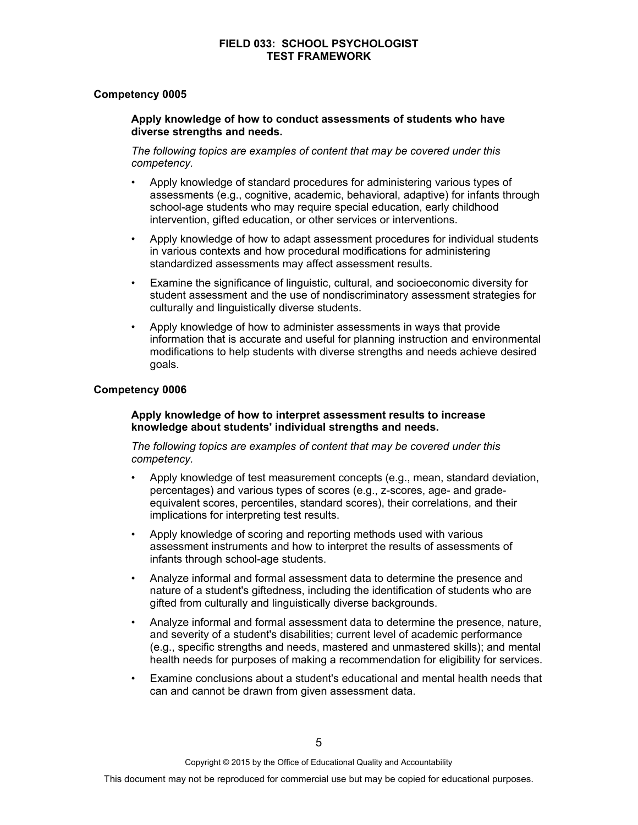## **Competency 0005**

#### **Apply knowledge of how to conduct assessments of students who have diverse strengths and needs.**

*The following topics are examples of content that may be covered under this competency.* 

- Apply knowledge of standard procedures for administering various types of assessments (e.g., cognitive, academic, behavioral, adaptive) for infants through school-age students who may require special education, early childhood intervention, gifted education, or other services or interventions.
- Apply knowledge of how to adapt assessment procedures for individual students in various contexts and how procedural modifications for administering standardized assessments may affect assessment results.
- Examine the significance of linguistic, cultural, and socioeconomic diversity for student assessment and the use of nondiscriminatory assessment strategies for culturally and linguistically diverse students.
- Apply knowledge of how to administer assessments in ways that provide information that is accurate and useful for planning instruction and environmental modifications to help students with diverse strengths and needs achieve desired goals.

## **Competency 0006**

#### **Apply knowledge of how to interpret assessment results to increase knowledge about students' individual strengths and needs.**

- Apply knowledge of test measurement concepts (e.g., mean, standard deviation, percentages) and various types of scores (e.g., z-scores, age- and gradeequivalent scores, percentiles, standard scores), their correlations, and their implications for interpreting test results.
- Apply knowledge of scoring and reporting methods used with various assessment instruments and how to interpret the results of assessments of infants through school-age students.
- Analyze informal and formal assessment data to determine the presence and nature of a student's giftedness, including the identification of students who are gifted from culturally and linguistically diverse backgrounds.
- Analyze informal and formal assessment data to determine the presence, nature, and severity of a student's disabilities; current level of academic performance (e.g., specific strengths and needs, mastered and unmastered skills); and mental health needs for purposes of making a recommendation for eligibility for services.
- Examine conclusions about a student's educational and mental health needs that can and cannot be drawn from given assessment data.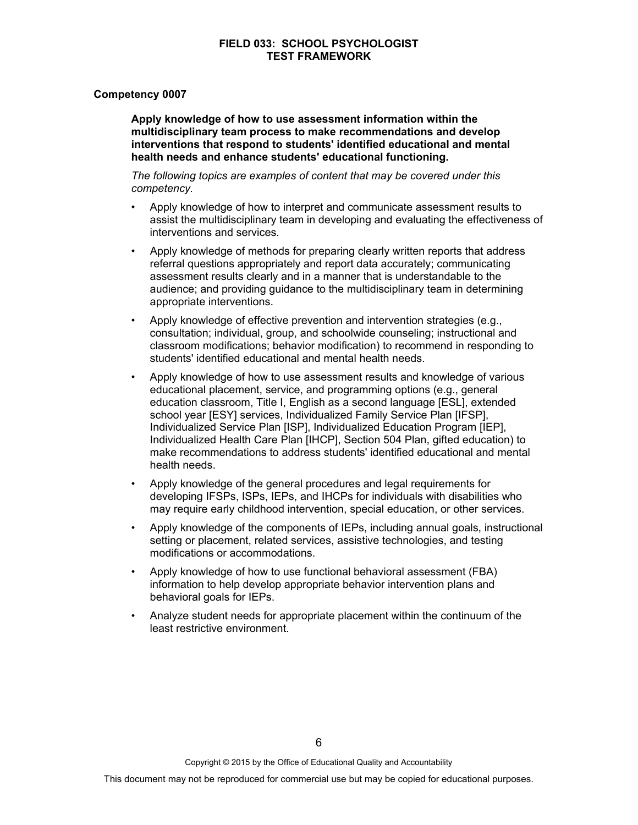#### **Competency 0007**

 **Apply knowledge of how to use assessment information within the multidisciplinary team process to make recommendations and develop interventions that respond to students' identified educational and mental health needs and enhance students' educational functioning.** 

*The following topics are examples of content that may be covered under this competency.* 

- Apply knowledge of how to interpret and communicate assessment results to assist the multidisciplinary team in developing and evaluating the effectiveness of interventions and services.
- Apply knowledge of methods for preparing clearly written reports that address referral questions appropriately and report data accurately; communicating assessment results clearly and in a manner that is understandable to the audience; and providing guidance to the multidisciplinary team in determining appropriate interventions.
- Apply knowledge of effective prevention and intervention strategies (e.g., consultation; individual, group, and schoolwide counseling; instructional and classroom modifications; behavior modification) to recommend in responding to students' identified educational and mental health needs.
- Apply knowledge of how to use assessment results and knowledge of various educational placement, service, and programming options (e.g., general education classroom, Title I, English as a second language [ESL], extended school year [ESY] services, Individualized Family Service Plan [IFSP], Individualized Service Plan [ISP], Individualized Education Program [IEP], Individualized Health Care Plan [IHCP], Section 504 Plan, gifted education) to make recommendations to address students' identified educational and mental health needs.
- Apply knowledge of the general procedures and legal requirements for developing IFSPs, ISPs, IEPs, and IHCPs for individuals with disabilities who may require early childhood intervention, special education, or other services.
- Apply knowledge of the components of IEPs, including annual goals, instructional setting or placement, related services, assistive technologies, and testing modifications or accommodations.
- Apply knowledge of how to use functional behavioral assessment (FBA) information to help develop appropriate behavior intervention plans and behavioral goals for IEPs.
- Analyze student needs for appropriate placement within the continuum of the least restrictive environment.

Copyright © 2015 by the Office of Educational Quality and Accountability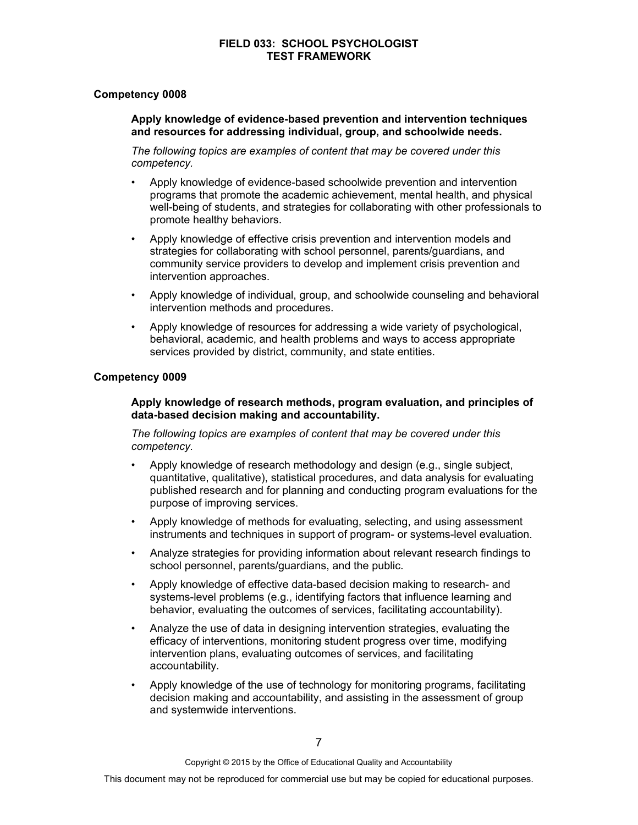## **Competency 0008**

### **Apply knowledge of evidence-based prevention and intervention techniques and resources for addressing individual, group, and schoolwide needs.**

*The following topics are examples of content that may be covered under this competency.* 

- Apply knowledge of evidence-based schoolwide prevention and intervention programs that promote the academic achievement, mental health, and physical well-being of students, and strategies for collaborating with other professionals to promote healthy behaviors.
- Apply knowledge of effective crisis prevention and intervention models and strategies for collaborating with school personnel, parents/guardians, and community service providers to develop and implement crisis prevention and intervention approaches.
- Apply knowledge of individual, group, and schoolwide counseling and behavioral intervention methods and procedures.
- Apply knowledge of resources for addressing a wide variety of psychological, behavioral, academic, and health problems and ways to access appropriate services provided by district, community, and state entities.

#### **Competency 0009**

### **Apply knowledge of research methods, program evaluation, and principles of data-based decision making and accountability.**

- Apply knowledge of research methodology and design (e.g., single subject, quantitative, qualitative), statistical procedures, and data analysis for evaluating published research and for planning and conducting program evaluations for the purpose of improving services.
- Apply knowledge of methods for evaluating, selecting, and using assessment instruments and techniques in support of program- or systems-level evaluation.
- Analyze strategies for providing information about relevant research findings to school personnel, parents/guardians, and the public.
- Apply knowledge of effective data-based decision making to research- and systems-level problems (e.g., identifying factors that influence learning and behavior, evaluating the outcomes of services, facilitating accountability).
- Analyze the use of data in designing intervention strategies, evaluating the efficacy of interventions, monitoring student progress over time, modifying intervention plans, evaluating outcomes of services, and facilitating accountability.
- Apply knowledge of the use of technology for monitoring programs, facilitating decision making and accountability, and assisting in the assessment of group and systemwide interventions.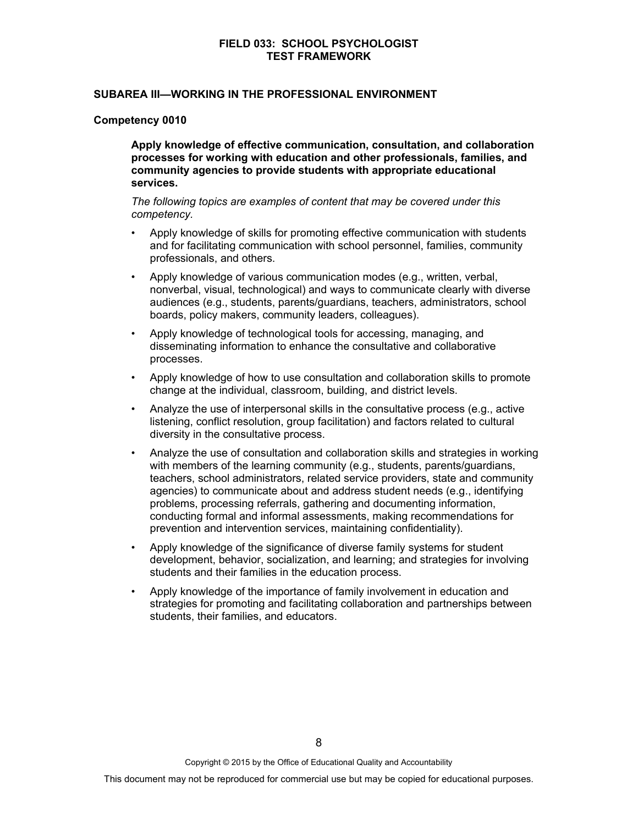#### **SUBAREA III—WORKING IN THE PROFESSIONAL ENVIRONMENT**

#### **Competency 0010**

 **Apply knowledge of effective communication, consultation, and collaboration processes for working with education and other professionals, families, and community agencies to provide students with appropriate educational services.** 

- Apply knowledge of skills for promoting effective communication with students and for facilitating communication with school personnel, families, community professionals, and others.
- Apply knowledge of various communication modes (e.g., written, verbal, nonverbal, visual, technological) and ways to communicate clearly with diverse audiences (e.g., students, parents/guardians, teachers, administrators, school boards, policy makers, community leaders, colleagues).
- Apply knowledge of technological tools for accessing, managing, and disseminating information to enhance the consultative and collaborative processes.
- Apply knowledge of how to use consultation and collaboration skills to promote change at the individual, classroom, building, and district levels.
- Analyze the use of interpersonal skills in the consultative process (e.g., active listening, conflict resolution, group facilitation) and factors related to cultural diversity in the consultative process.
- Analyze the use of consultation and collaboration skills and strategies in working with members of the learning community (e.g., students, parents/guardians, teachers, school administrators, related service providers, state and community agencies) to communicate about and address student needs (e.g., identifying problems, processing referrals, gathering and documenting information, conducting formal and informal assessments, making recommendations for prevention and intervention services, maintaining confidentiality).
- Apply knowledge of the significance of diverse family systems for student development, behavior, socialization, and learning; and strategies for involving students and their families in the education process.
- Apply knowledge of the importance of family involvement in education and strategies for promoting and facilitating collaboration and partnerships between students, their families, and educators.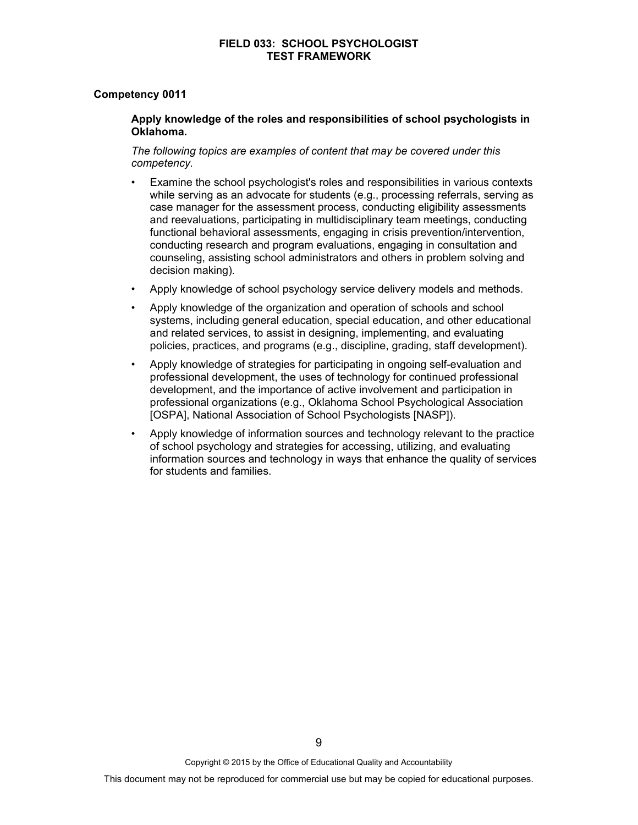#### **Competency 0011**

#### **Apply knowledge of the roles and responsibilities of school psychologists in Oklahoma.**

- Examine the school psychologist's roles and responsibilities in various contexts while serving as an advocate for students (e.g., processing referrals, serving as case manager for the assessment process, conducting eligibility assessments and reevaluations, participating in multidisciplinary team meetings, conducting functional behavioral assessments, engaging in crisis prevention/intervention, conducting research and program evaluations, engaging in consultation and counseling, assisting school administrators and others in problem solving and decision making).
- Apply knowledge of school psychology service delivery models and methods.
- Apply knowledge of the organization and operation of schools and school systems, including general education, special education, and other educational and related services, to assist in designing, implementing, and evaluating policies, practices, and programs (e.g., discipline, grading, staff development).
- Apply knowledge of strategies for participating in ongoing self-evaluation and professional development, the uses of technology for continued professional development, and the importance of active involvement and participation in professional organizations (e.g., Oklahoma School Psychological Association [OSPA], National Association of School Psychologists [NASP]).
- Apply knowledge of information sources and technology relevant to the practice of school psychology and strategies for accessing, utilizing, and evaluating information sources and technology in ways that enhance the quality of services for students and families.